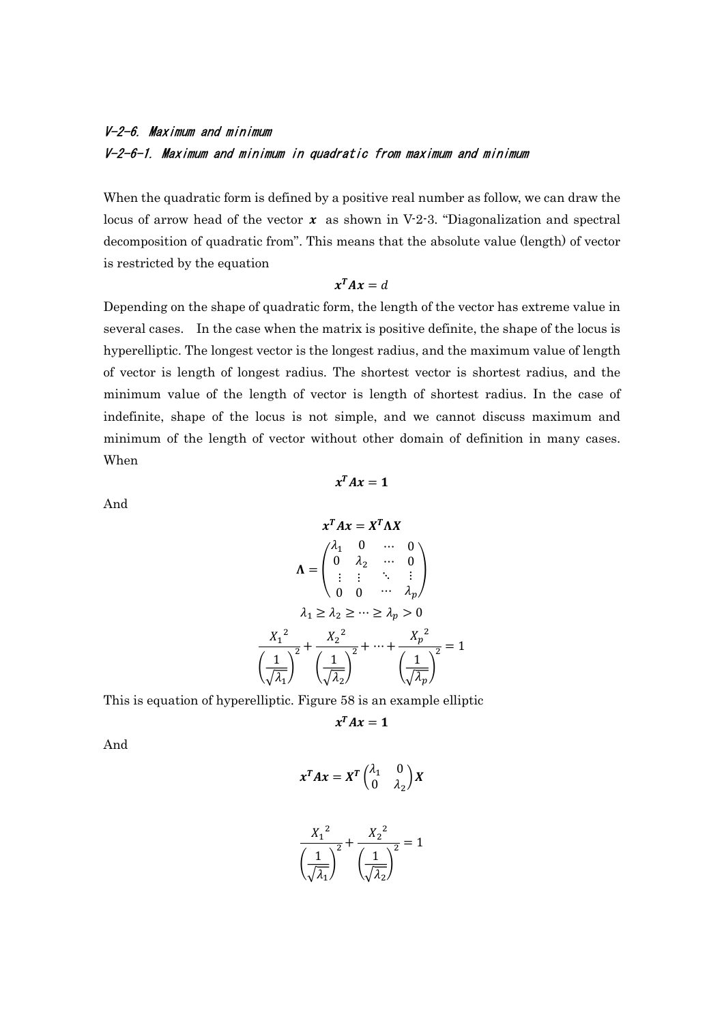# V-2-6. Maximum and minimum V-2-6-1. Maximum and minimum in quadratic from maximum and minimum

When the quadratic form is defined by a positive real number as follow, we can draw the locus of arrow head of the vector  $x$  as shown in V-2-3. "Diagonalization and spectral decomposition of quadratic from". This means that the absolute value (length) of vector is restricted by the equation

$$
x^T A x = d
$$

Depending on the shape of quadratic form, the length of the vector has extreme value in several cases. In the case when the matrix is positive definite, the shape of the locus is hyperelliptic. The longest vector is the longest radius, and the maximum value of length of vector is length of longest radius. The shortest vector is shortest radius, and the minimum value of the length of vector is length of shortest radius. In the case of indefinite, shape of the locus is not simple, and we cannot discuss maximum and minimum of the length of vector without other domain of definition in many cases. When

 $x^T A x = 1$ 

And

$$
x^{T}Ax = X^{T}\Lambda X
$$
\n
$$
\Lambda = \begin{pmatrix} \lambda_{1} & 0 & \cdots & 0 \\ 0 & \lambda_{2} & \cdots & 0 \\ \vdots & \vdots & \ddots & \vdots \\ 0 & 0 & \cdots & \lambda_{p} \end{pmatrix}
$$
\n
$$
\lambda_{1} \ge \lambda_{2} \ge \cdots \ge \lambda_{p} > 0
$$
\n
$$
\frac{X_{1}^{2}}{\sqrt{\lambda_{1}}^{2}} + \frac{X_{2}^{2}}{\sqrt{\lambda_{2}}^{2}} + \cdots + \frac{X_{p}^{2}}{\sqrt{\lambda_{p}}^{2}} = 1
$$

This is equation of hyperelliptic. Figure 58 is an example elliptic

 $x^T A x = 1$ 

And

$$
x^T A x = X^T \begin{pmatrix} \lambda_1 & 0 \\ 0 & \lambda_2 \end{pmatrix} X
$$

$$
\frac{X_1^2}{\left(\frac{1}{\sqrt{\lambda_1}}\right)^2} + \frac{X_2^2}{\left(\frac{1}{\sqrt{\lambda_2}}\right)^2} = 1
$$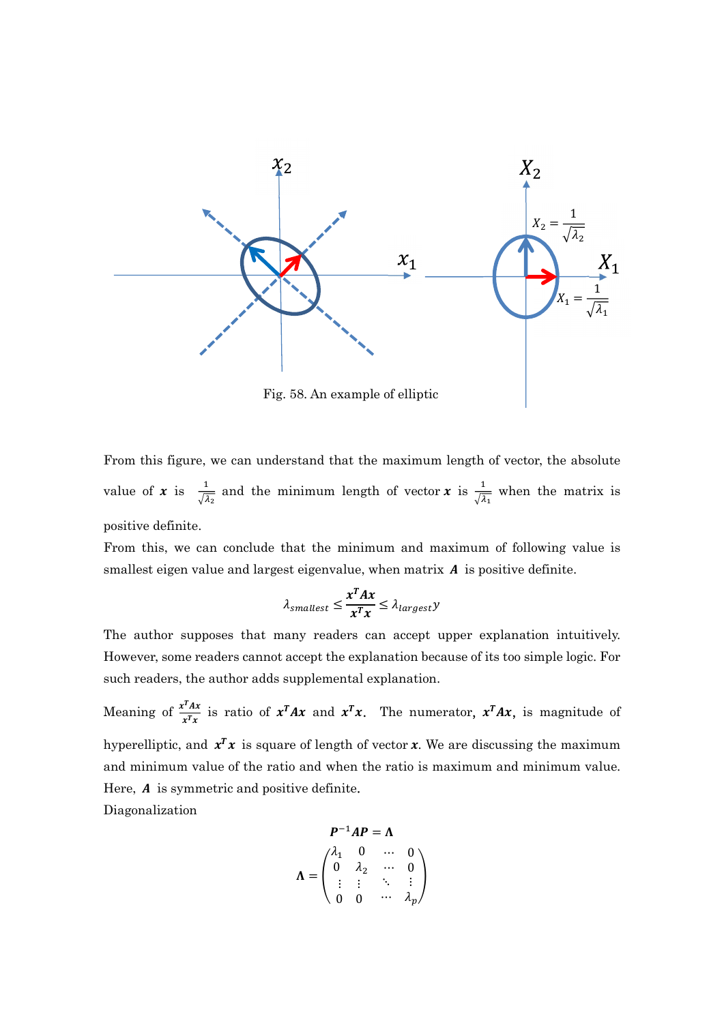

Fig. 58. An example of elliptic

From this figure, we can understand that the maximum length of vector, the absolute value of **x** is  $\frac{1}{\sqrt{\lambda_2}}$  and the minimum length of vector **x** is  $\frac{1}{\sqrt{\lambda_1}}$  when the matrix is positive definite.

From this, we can conclude that the minimum and maximum of following value is smallest eigen value and largest eigenvalue, when matrix  $\boldsymbol{A}$  is positive definite.

$$
\lambda_{smallest} \leq \frac{x^T A x}{x^T x} \leq \lambda_{largest} y
$$

The author supposes that many readers can accept upper explanation intuitively. However, some readers cannot accept the explanation because of its too simple logic. For such readers, the author adds supplemental explanation.

Meaning of  $\frac{x^T A x}{T}$  $\frac{x^T A x}{x^T x}$  is ratio of  $x^T A x$  and  $x^T x$ . The numerator,  $x^T A x$ , is magnitude of hyperelliptic, and  $x^T x$  is square of length of vector x. We are discussing the maximum and minimum value of the ratio and when the ratio is maximum and minimum value. Here,  $A$  is symmetric and positive definite. Diagonalization

$$
P^{-1}AP = \Lambda
$$

$$
\Lambda = \begin{pmatrix} \lambda_1 & 0 & \cdots & 0 \\ 0 & \lambda_2 & \cdots & 0 \\ \vdots & \vdots & \ddots & \vdots \\ 0 & 0 & \cdots & \lambda_p \end{pmatrix}
$$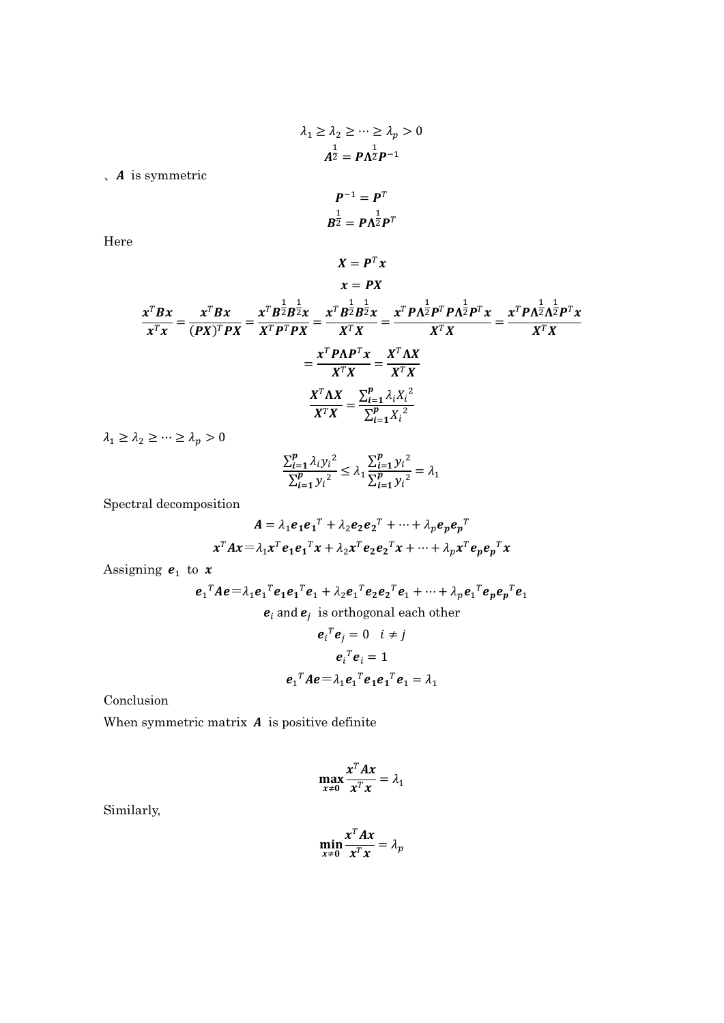$$
\lambda_1 \ge \lambda_2 \ge \dots \ge \lambda_p > 0
$$

$$
A^{\frac{1}{2}} = P \Lambda^{\frac{1}{2}} P^{-1}
$$

 $\lambda$  *A* is symmetric

$$
P^{-1} = P^T
$$

$$
B^{\frac{1}{2}} = P\Lambda^{\frac{1}{2}}P^T
$$

 $X = P^T x$ 

Here

$$
x = PX
$$
  

$$
\frac{x^T B x}{x^T x} = \frac{x^T B x}{(PX)^T PX} = \frac{x^T B^{\frac{1}{2}} B^{\frac{1}{2}} x}{X^T P^T PX} = \frac{x^T B^{\frac{1}{2}} B^{\frac{1}{2}} x}{X^T X} = \frac{x^T P \Lambda^{\frac{1}{2}} P^T P \Lambda^{\frac{1}{2}} P^T x}{X^T X} = \frac{x^T P \Lambda P^T x}{X^T X} = \frac{x^T P \Lambda P^T x}{X^T X}
$$

$$
\frac{X^T \Lambda X}{X^T X} = \frac{\sum_{i=1}^p \lambda_i X_i^2}{\sum_{i=1}^p X_i^2}
$$

 $\lambda_1 \geq \lambda_2 \geq \cdots \geq \lambda_p > 0$ 

$$
\frac{\sum_{i=1}^{p} \lambda_i y_i^2}{\sum_{i=1}^{p} y_i^2} \le \lambda_1 \frac{\sum_{i=1}^{p} y_i^2}{\sum_{i=1}^{p} y_i^2} = \lambda_1
$$

Spectral decomposition

$$
A = \lambda_1 e_1 e_1^T + \lambda_2 e_2 e_2^T + \dots + \lambda_p e_p e_p^T
$$

$$
x^T A x = \lambda_1 x^T e_1 e_1^T x + \lambda_2 x^T e_2 e_2^T x + \dots + \lambda_p x^T e_p e_p^T x
$$

Assigning  $e_1$  to  $x$ 

$$
e_1^T A e = \lambda_1 e_1^T e_1 e_1^T e_1 + \lambda_2 e_1^T e_2 e_2^T e_1 + \dots + \lambda_p e_1^T e_p e_p^T e_1
$$
  
\n
$$
e_i
$$
 and  $e_j$  is orthogonal each other  
\n
$$
e_i^T e_j = 0 \quad i \neq j
$$
  
\n
$$
e_i^T e_i = 1
$$

 $e_1^T A e = \lambda_1 e_1^T e_1 e_1^T e_1 = \lambda_1$ 

$$
\\Conclusion
$$

When symmetric matrix  $A$  is positive definite

$$
\max_{x\neq 0} \frac{x^T A x}{x^T x} = \lambda_1
$$

Similarly,

$$
\min_{x\neq 0} \frac{x^T A x}{x^T x} = \lambda_p
$$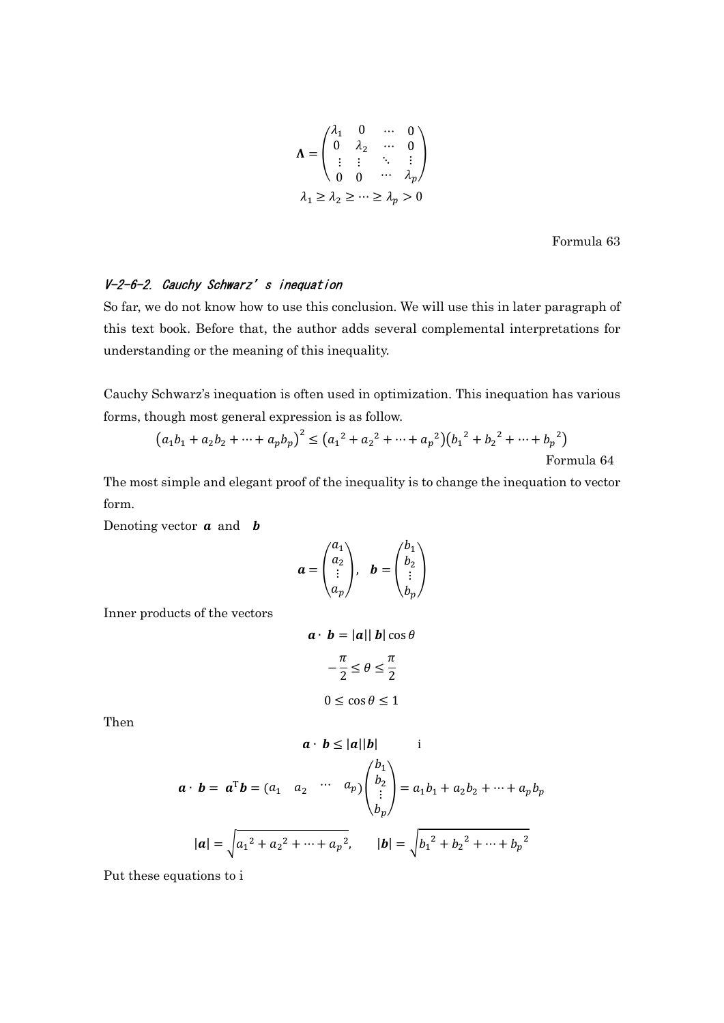$$
\Lambda = \begin{pmatrix} \lambda_1 & 0 & \cdots & 0 \\ 0 & \lambda_2 & \cdots & 0 \\ \vdots & \vdots & \ddots & \vdots \\ 0 & 0 & \cdots & \lambda_p \end{pmatrix}
$$

$$
\lambda_1 \ge \lambda_2 \ge \cdots \ge \lambda_p > 0
$$

Formula 63

### V-2-6-2. Cauchy Schwarz's inequation

So far, we do not know how to use this conclusion. We will use this in later paragraph of this text book. Before that, the author adds several complemental interpretations for understanding or the meaning of this inequality.

Cauchy Schwarz's inequation is often used in optimization. This inequation has various forms, though most general expression is as follow.

$$
(a_1b_1 + a_2b_2 + \dots + a_pb_p)^2 \le (a_1^2 + a_2^2 + \dots + a_p^2)(b_1^2 + b_2^2 + \dots + b_p^2)
$$
  
Formula 64

The most simple and elegant proof of the inequality is to change the inequation to vector form.

Denoting vector  $\boldsymbol{a}$  and  $\boldsymbol{b}$ 

$$
\mathbf{a} = \begin{pmatrix} a_1 \\ a_2 \\ \vdots \\ a_p \end{pmatrix}, \quad \mathbf{b} = \begin{pmatrix} b_1 \\ b_2 \\ \vdots \\ b_p \end{pmatrix}
$$

Inner products of the vectors

$$
\mathbf{a} \cdot \mathbf{b} = |\mathbf{a}||\mathbf{b}|\cos\theta
$$

$$
-\frac{\pi}{2} \le \theta \le \frac{\pi}{2}
$$

$$
0 \le \cos\theta \le 1
$$

Then

$$
\mathbf{a} \cdot \mathbf{b} \le |\mathbf{a}||\mathbf{b}| \qquad \text{i}
$$
\n
$$
\mathbf{a} \cdot \mathbf{b} = \mathbf{a}^{\text{T}}\mathbf{b} = (a_1 \quad a_2 \quad \cdots \quad a_p) \begin{pmatrix} b_1 \\ b_2 \\ \vdots \\ b_p \end{pmatrix} = a_1b_1 + a_2b_2 + \cdots + a_pb_p
$$
\n
$$
|\mathbf{a}| = \sqrt{a_1^2 + a_2^2 + \cdots + a_p^2}, \qquad |\mathbf{b}| = \sqrt{b_1^2 + b_2^2 + \cdots + b_p^2}
$$

Put these equations to i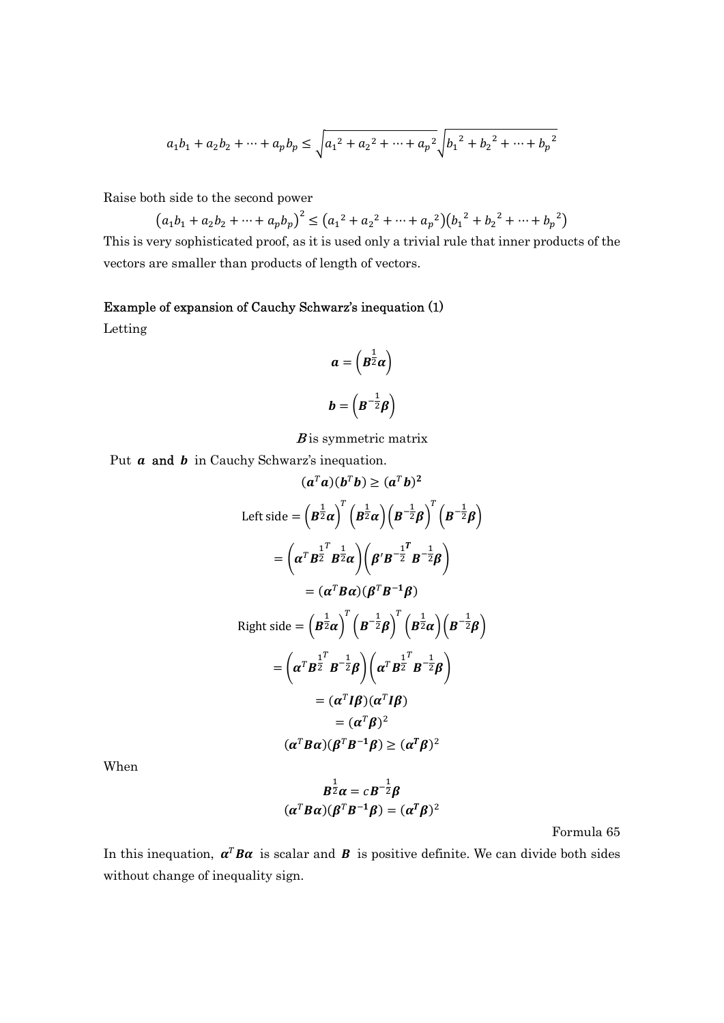$$
a_1b_1 + a_2b_2 + \dots + a_pb_p \le \sqrt{a_1^2 + a_2^2 + \dots + a_p^2} \sqrt{b_1^2 + b_2^2 + \dots + b_p^2}
$$

Raise both side to the second power

 $(a_1b_1 + a_2b_2 + \dots + a_pb_p)^2 \le (a_1^2 + a_2^2 + \dots + a_p^2)(b_1^2 + b_2^2 + \dots + b_p^2)$ 

This is very sophisticated proof, as it is used only a trivial rule that inner products of the vectors are smaller than products of length of vectors.

#### Example of expansion of Cauchy Schwarz's inequation (1)

Letting

$$
a = \left(B^{\frac{1}{2}}a\right)
$$

$$
b = \left(B^{-\frac{1}{2}}\beta\right)
$$

 $B$  is symmetric matrix

Put  $\boldsymbol{a}$  and  $\boldsymbol{b}$  in Cauchy Schwarz's inequation.

$$
(\mathbf{a}^T \mathbf{a})(\mathbf{b}^T \mathbf{b}) \ge (\mathbf{a}^T \mathbf{b})^2
$$
  
Left side =  $(\mathbf{B}^{\frac{1}{2}} \mathbf{a})^T (\mathbf{B}^{\frac{1}{2}} \mathbf{a}) (\mathbf{B}^{-\frac{1}{2}} \mathbf{\beta})^T (\mathbf{B}^{-\frac{1}{2}} \mathbf{\beta})$   

$$
= (\mathbf{a}^T \mathbf{B}^{\frac{1}{2}} \mathbf{B}^{\frac{1}{2}} \mathbf{a}) (\mathbf{\beta}' \mathbf{B}^{-\frac{1}{2}} \mathbf{B}^{-\frac{1}{2}} \mathbf{\beta})
$$
  

$$
= (\mathbf{a}^T \mathbf{B} \mathbf{\alpha}) (\mathbf{\beta}^T \mathbf{B}^{-1} \mathbf{\beta})
$$
  
Right side =  $(\mathbf{B}^{\frac{1}{2}} \mathbf{a})^T (\mathbf{B}^{-\frac{1}{2}} \mathbf{\beta})^T (\mathbf{B}^{\frac{1}{2}} \mathbf{\alpha}) (\mathbf{B}^{-\frac{1}{2}} \mathbf{\beta})$   

$$
= (\mathbf{a}^T \mathbf{B}^{\frac{1}{2}} \mathbf{B}^{-\frac{1}{2}} \mathbf{\beta}) (\mathbf{a}^T \mathbf{B}^{\frac{1}{2}} \mathbf{B}^{-\frac{1}{2}} \mathbf{\beta})
$$
  

$$
= (\mathbf{a}^T \mathbf{I} \mathbf{\beta}) (\mathbf{a}^T \mathbf{I} \mathbf{\beta})
$$
  

$$
= (\mathbf{a}^T \mathbf{B} \mathbf{\alpha}) (\mathbf{\beta}^T \mathbf{B}^{-1} \mathbf{\beta}) \ge (\mathbf{a}^T \mathbf{\beta})^2
$$

When

$$
B^{\frac{1}{2}}\alpha = cB^{-\frac{1}{2}}\beta
$$

$$
(\alpha^T B\alpha)(\beta^T B^{-1}\beta) = (\alpha^T \beta)^2
$$

Formula 65

In this inequation,  $\alpha^T B \alpha$  is scalar and **B** is positive definite. We can divide both sides without change of inequality sign.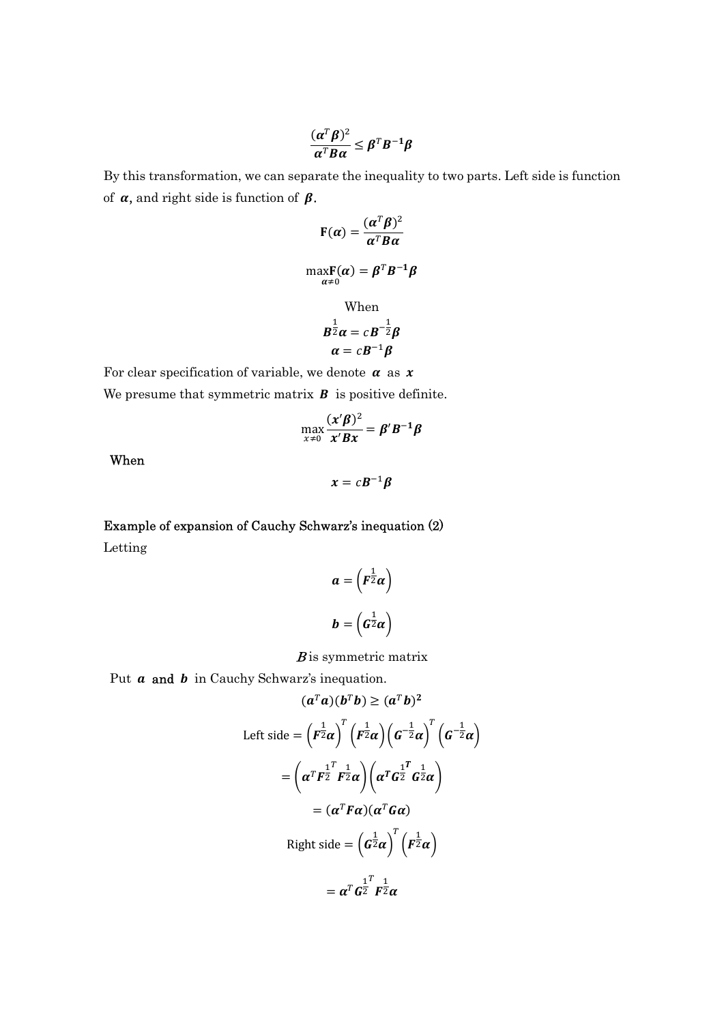$$
\frac{(\boldsymbol{\alpha}^T\boldsymbol{\beta})^2}{\boldsymbol{\alpha}^T\boldsymbol{B}\boldsymbol{\alpha}} \leq \boldsymbol{\beta}^T\boldsymbol{B}^{-1}\boldsymbol{\beta}
$$

By this transformation, we can separate the inequality to two parts. Left side is function of  $\alpha$ , and right side is function of  $\beta$ .

$$
F(\alpha) = \frac{(\alpha^T \beta)^2}{\alpha^T B \alpha}
$$
  
\n
$$
\max_{\alpha \neq 0} F(\alpha) = \beta^T B^{-1} \beta
$$
  
\nWhen  
\n
$$
B^{\frac{1}{2}} \alpha = cB^{-\frac{1}{2}} \beta
$$
  
\n
$$
\alpha = cB^{-1} \beta
$$

For clear specification of variable, we denote  $\alpha$  as  $x$ We presume that symmetric matrix  $\boldsymbol{B}$  is positive definite.

$$
\max_{x\neq 0}\frac{(x'\beta)^2}{x'Bx}=\beta'B^{-1}\beta
$$

 $x = cB^{-1}\beta$ 

When

Example of expansion of Cauchy Schwarz's inequation (2) Letting

$$
a = \left(F^{\frac{1}{2}}\alpha\right)
$$

$$
b = \left(G^{\frac{1}{2}}\alpha\right)
$$

#### $B$  is symmetric matrix

Put  $a$  and  $b$  in Cauchy Schwarz's inequation.

$$
(a^T a)(b^T b) \ge (a^T b)^2
$$
  
Left side =  $\left(F^{\frac{1}{2}} \alpha\right)^T \left(F^{\frac{1}{2}} \alpha\right) \left(G^{-\frac{1}{2}} \alpha\right)^T \left(G^{-\frac{1}{2}} \alpha\right)$   

$$
= \left(\alpha^T F^{\frac{1}{2}} F^{\frac{1}{2}} \alpha\right) \left(\alpha^T G^{\frac{1}{2}} G^{\frac{1}{2}} \alpha\right)
$$
  

$$
= (\alpha^T F \alpha) (\alpha^T G \alpha)
$$
  
Right side =  $\left(G^{\frac{1}{2}} \alpha\right)^T \left(F^{\frac{1}{2}} \alpha\right)$   

$$
= \alpha^T G^{\frac{1}{2}} F^{\frac{1}{2}} \alpha
$$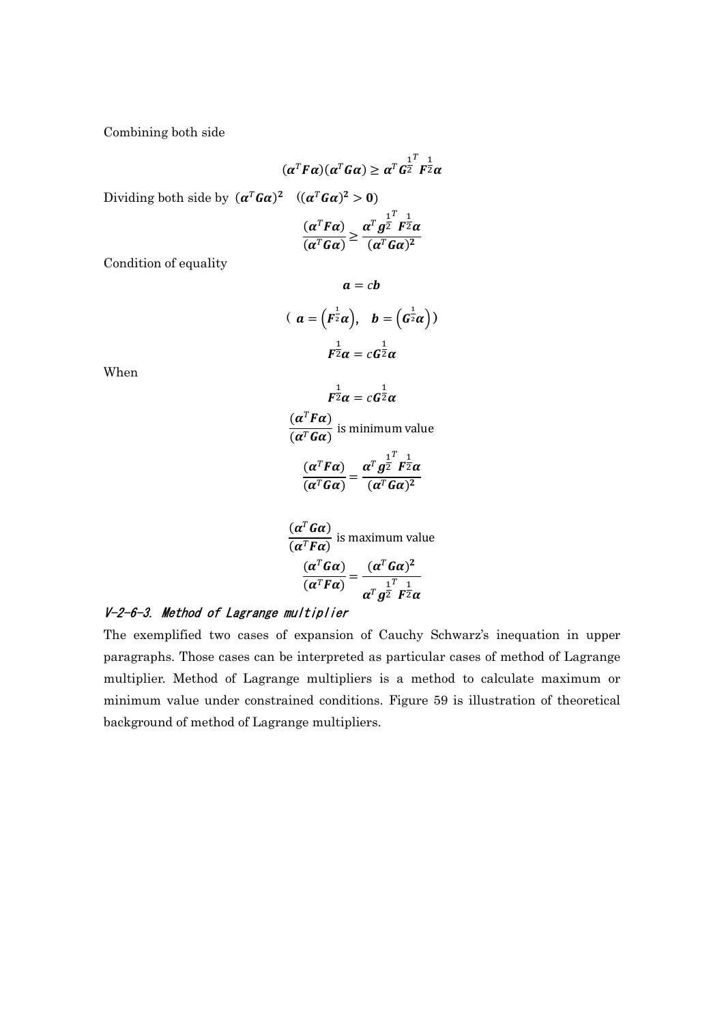Combining both side

$$
(\alpha^T F\alpha)(\alpha^T G\alpha) \geq \alpha^T G^{\frac{1}{2}T} \frac{1}{F^2} \alpha
$$

Dividing both side by  $(\boldsymbol{\alpha}^T \boldsymbol{G} \boldsymbol{\alpha})^2$   $((\boldsymbol{\alpha}^T \boldsymbol{G} \boldsymbol{\alpha})^2 > 0)$ 

$$
\frac{(\alpha^T F \alpha)}{(\alpha^T G \alpha)} \ge \frac{\alpha^T g^{\frac{1}{2}} F^{\frac{1}{2}} \alpha}{(\alpha^T G \alpha)^2}
$$

Condition of equality

$$
a = cb
$$
  

$$
(a = (F^{\frac{1}{2}}\alpha), b = (G^{\frac{1}{2}}\alpha))
$$
  

$$
F^{\frac{1}{2}}\alpha = cG^{\frac{1}{2}}\alpha
$$

When

$$
F^{\frac{1}{2}}\alpha = cG^{\frac{1}{2}}\alpha
$$

 $(\boldsymbol{\alpha}^T \boldsymbol{F} \boldsymbol{\alpha})$  $\frac{(\alpha - \alpha)}{(\alpha^T G \alpha)}$  is minimum value

$$
\frac{(\alpha^T F \alpha)}{(\alpha^T G \alpha)} = \frac{\alpha^T g^{\frac{1}{2}^T} F^{\frac{1}{2}} \alpha}{(\alpha^T G \alpha)^2}
$$

$$
\frac{(\alpha^T G \alpha)}{(\alpha^T F \alpha)}
$$
 is maximum value  

$$
\frac{(\alpha^T G \alpha)}{(\alpha^T F \alpha)} = \frac{(\alpha^T G \alpha)^2}{\alpha^T g^{\frac{1}{2}} F^{\frac{1}{2}} \alpha}
$$

## V-2-6-3. Method of Lagrange multiplier

The exemplified two cases of expansion of Cauchy Schwarz's inequation in upper paragraphs. Those cases can be interpreted as particular cases of method of Lagrange multiplier. Method of Lagrange multipliers is a method to calculate maximum or minimum value under constrained conditions. Figure 59 is illustration of theoretical background of method of Lagrange multipliers.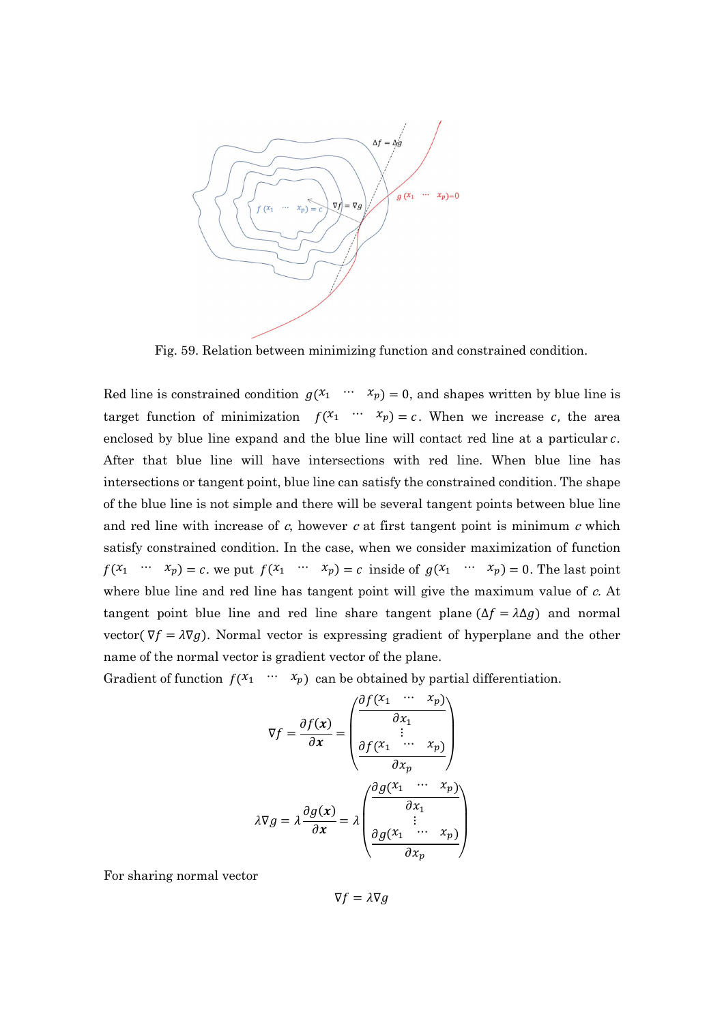

Fig. 59. Relation between minimizing function and constrained condition.

Red line is constrained condition  $g(x_1 \cdots x_p) = 0$ , and shapes written by blue line is target function of minimization  $f(x_1 \cdots x_p) = c$ . When we increase c, the area enclosed by blue line expand and the blue line will contact red line at a particular c. After that blue line will have intersections with red line. When blue line has intersections or tangent point, blue line can satisfy the constrained condition. The shape of the blue line is not simple and there will be several tangent points between blue line and red line with increase of  $c$ , however  $c$  at first tangent point is minimum  $c$  which satisfy constrained condition. In the case, when we consider maximization of function  $f(x_1 \cdots x_p) = c$ , we put  $f(x_1 \cdots x_p) = c$  inside of  $g(x_1 \cdots x_p) = 0$ . The last point where blue line and red line has tangent point will give the maximum value of  $c$ . At tangent point blue line and red line share tangent plane ( $\Delta f = \lambda \Delta g$ ) and normal vector( $\nabla f = \lambda \nabla g$ ). Normal vector is expressing gradient of hyperplane and the other name of the normal vector is gradient vector of the plane.

Gradient of function  $f(x_1 \cdots x_p)$  can be obtained by partial differentiation.

$$
\nabla f = \frac{\partial f(x)}{\partial x} = \begin{pmatrix} \frac{\partial f(x_1 \cdots x_p)}{\partial x_1} \\ \vdots \\ \frac{\partial f(x_1 \cdots x_p)}{\partial x_p} \end{pmatrix}
$$

$$
\lambda \nabla g = \lambda \frac{\partial g(x)}{\partial x} = \lambda \begin{pmatrix} \frac{\partial g(x_1 \cdots x_p)}{\partial x_1} \\ \vdots \\ \frac{\partial g(x_1 \cdots x_p)}{\partial x_p} \end{pmatrix}
$$

For sharing normal vector

 $\nabla f = \lambda \nabla g$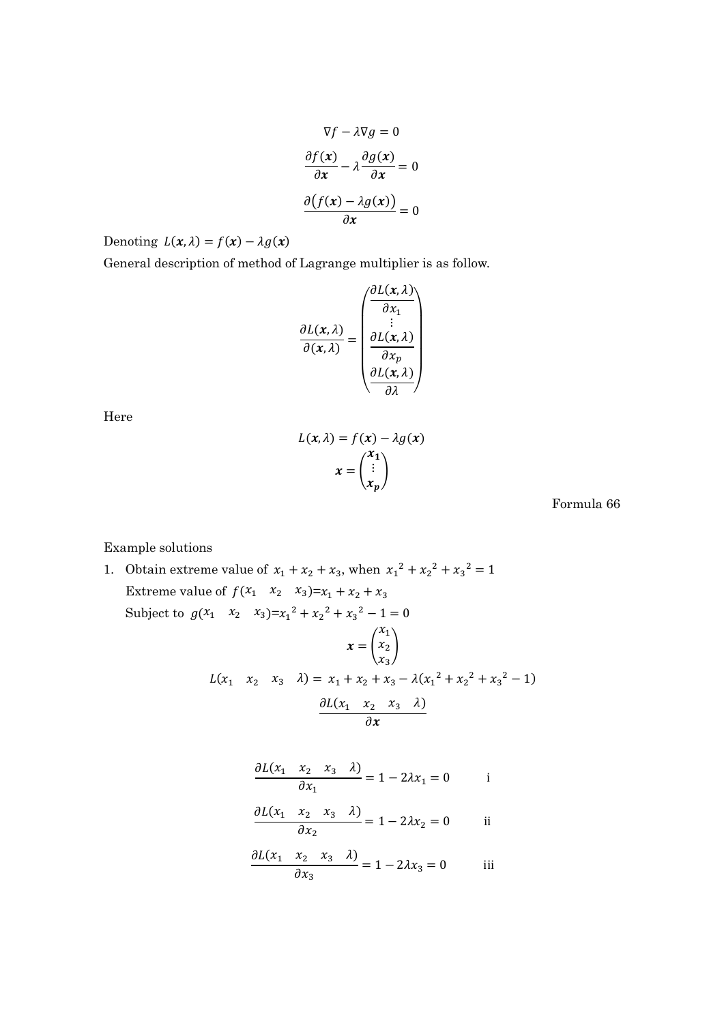$$
\nabla f - \lambda \nabla g = 0
$$

$$
\frac{\partial f(x)}{\partial x} - \lambda \frac{\partial g(x)}{\partial x} = 0
$$

$$
\frac{\partial (f(x) - \lambda g(x))}{\partial x} = 0
$$

Denoting  $L(x, \lambda) = f(x) - \lambda g(x)$ 

General description of method of Lagrange multiplier is as follow.

$$
\frac{\partial L(x,\lambda)}{\partial (x,\lambda)} = \begin{pmatrix} \frac{\partial L(x,\lambda)}{\partial x_1} \\ \vdots \\ \frac{\partial L(x,\lambda)}{\partial x_p} \\ \frac{\partial L(x,\lambda)}{\partial \lambda} \end{pmatrix}
$$

Here

$$
L(x, \lambda) = f(x) - \lambda g(x)
$$

$$
x = \begin{pmatrix} x_1 \\ \vdots \\ x_p \end{pmatrix}
$$

Formula 66

Example solutions

1. Obtain extreme value of  $x_1 + x_2 + x_3$ , when  $x_1^2 + x_2^2 + x_3^2 = 1$ Extreme value of  $f(x_1 \ x_2 \ x_3)=x_1 + x_2 + x_3$ Subject to  $g(x_1 \quad x_2 \quad x_3)=x_1^2 + x_2^2 + x_3^2 - 1 = 0$  $x = |$  $x_1$  $x_2$  $x_3$  $\overline{1}$  $L(x_1 \quad x_2 \quad x_3 \quad \lambda) = x_1 + x_2 + x_3 - \lambda (x_1^2 + x_2^2 + x_3^2 - 1)$  $\partial L(x_1 \quad x_2 \quad x_3 \quad \lambda)$  $\partial x$ 

$$
\frac{\partial L(x_1 \quad x_2 \quad x_3 \quad \lambda)}{\partial x_1} = 1 - 2\lambda x_1 = 0 \qquad \text{if}
$$

$$
\frac{\partial L(x_1 \quad x_2 \quad x_3 \quad \lambda)}{\partial x_2} = 1 - 2\lambda x_2 = 0 \quad \text{ii}
$$

$$
\frac{\partial L(x_1 \quad x_2 \quad x_3 \quad \lambda)}{\partial x_3} = 1 - 2\lambda x_3 = 0 \quad \text{iii}
$$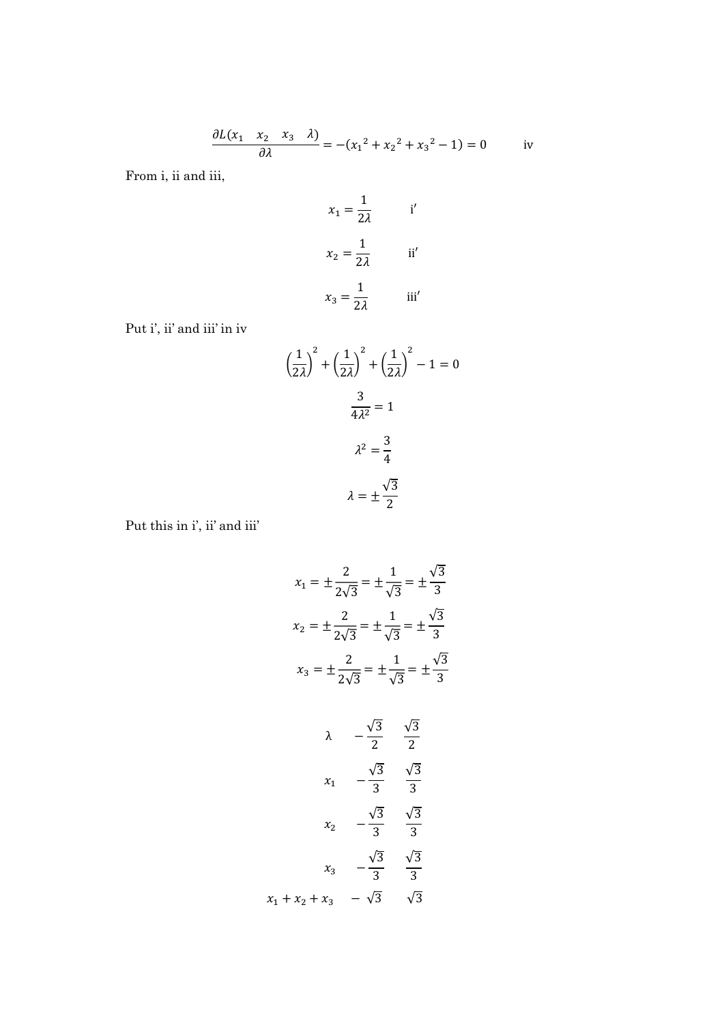$$
\frac{\partial L(x_1 \quad x_2 \quad x_3 \quad \lambda)}{\partial \lambda} = -(x_1^2 + x_2^2 + x_3^2 - 1) = 0 \quad \text{iv}
$$

From i, ii and iii,

$$
x_1 = \frac{1}{2\lambda} \qquad \text{i'}
$$

$$
x_2 = \frac{1}{2\lambda} \qquad \text{ii'}
$$

$$
x_3 = \frac{1}{2\lambda} \qquad \text{iii'}
$$

Put i', ii' and iii' in iv

$$
\left(\frac{1}{2\lambda}\right)^2 + \left(\frac{1}{2\lambda}\right)^2 + \left(\frac{1}{2\lambda}\right)^2 - 1 = 0
$$

$$
\frac{3}{4\lambda^2} = 1
$$

$$
\lambda^2 = \frac{3}{4}
$$

$$
\lambda = \pm \frac{\sqrt{3}}{2}
$$

Put this in i', ii' and iii'

$$
x_1 = \pm \frac{2}{2\sqrt{3}} = \pm \frac{1}{\sqrt{3}} = \pm \frac{\sqrt{3}}{3}
$$
  
\n
$$
x_2 = \pm \frac{2}{2\sqrt{3}} = \pm \frac{1}{\sqrt{3}} = \pm \frac{\sqrt{3}}{3}
$$
  
\n
$$
x_3 = \pm \frac{2}{2\sqrt{3}} = \pm \frac{1}{\sqrt{3}} = \pm \frac{\sqrt{3}}{3}
$$
  
\n
$$
\lambda = \frac{\sqrt{3}}{2} = \frac{\sqrt{3}}{2}
$$
  
\n
$$
x_1 = \frac{\sqrt{3}}{2} = \frac{\sqrt{3}}{2}
$$
  
\n
$$
x_2 = \frac{\sqrt{3}}{2} = \frac{\sqrt{3}}{2}
$$
  
\n
$$
x_2 = \frac{\sqrt{3}}{2} = \frac{\sqrt{3}}{2}
$$
  
\n
$$
x_3 = \frac{\sqrt{3}}{2} = \frac{\sqrt{3}}{2}
$$
  
\n
$$
x_3 = \frac{\sqrt{3}}{2} = \frac{\sqrt{3}}{2}
$$
  
\n
$$
x_1 + x_2 + x_3 = \sqrt{3} = \sqrt{3}
$$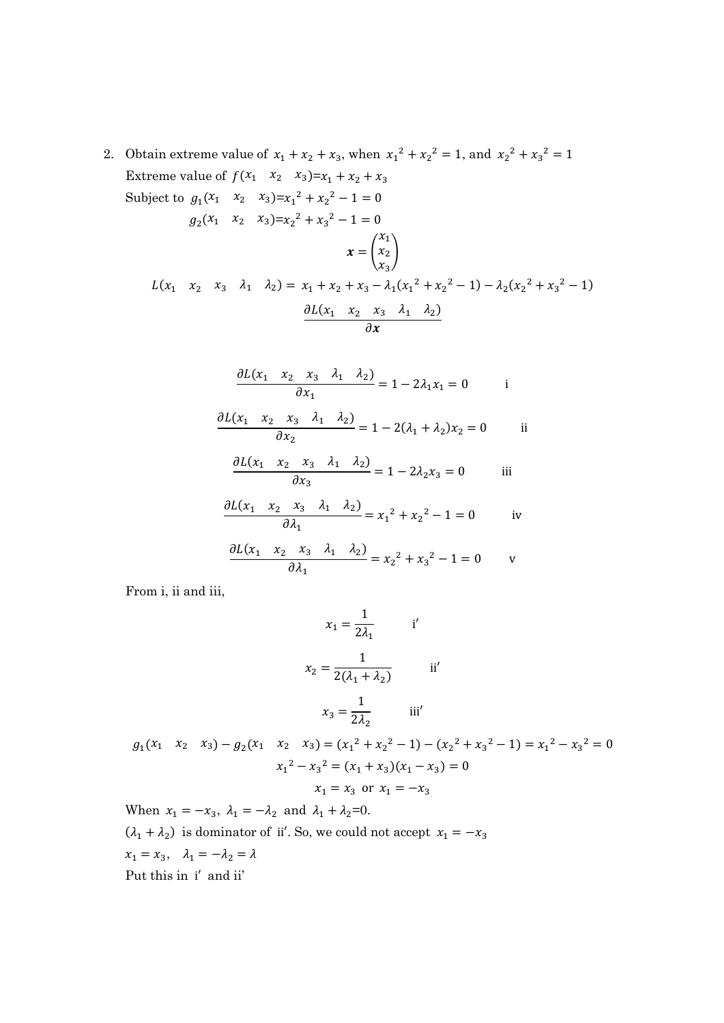2. Obtain extreme value of  $x_1 + x_2 + x_3$ , when  $x_1^2 + x_2^2 = 1$ , and  $x_2^2 + x_3^2 = 1$ Extreme value of  $f(x_1 \ x_2 \ x_3)=x_1 + x_2 + x_3$ Subject to  $g_1(x_1 \quad x_2 \quad x_3)=x_1^2+x_2^2-1=0$  $g_2(x_1 \quad x_2 \quad x_3) = x_2^2 + x_3^2 - 1 = 0$  $x = |$  $x_1$  $x_2$  $x_3$  $\overline{1}$  $L(x_1 \quad x_2 \quad x_3 \quad \lambda_1 \quad \lambda_2) = x_1 + x_2 + x_3 - \lambda_1 (x_1^2 + x_2^2 - 1) - \lambda_2 (x_2^2 + x_3^2 - 1)$  $\partial L(x_1 \quad x_2 \quad x_3 \quad \lambda_1 \quad \lambda_2)$  $\partial x$ 

$$
\frac{\partial L(x_1 \quad x_2 \quad x_3 \quad \lambda_1 \quad \lambda_2)}{\partial x_1} = 1 - 2\lambda_1 x_1 = 0 \quad \text{ii}
$$

$$
\frac{\partial L(x_1 \quad x_2 \quad x_3 \quad \lambda_1 \quad \lambda_2)}{\partial x_2} = 1 - 2(\lambda_1 + \lambda_2) x_2 = 0 \quad \text{iii}
$$

$$
\frac{\partial L(x_1 \quad x_2 \quad x_3 \quad \lambda_1 \quad \lambda_2)}{\partial x_3} = 1 - 2\lambda_2 x_3 = 0 \quad \text{iii}
$$

$$
\frac{\partial L(x_1 \quad x_2 \quad x_3 \quad \lambda_1 \quad \lambda_2)}{\partial \lambda_1} = x_1^2 + x_2^2 - 1 = 0 \quad \text{iv}
$$

$$
\frac{\partial L(x_1 \quad x_2 \quad x_3 \quad \lambda_1 \quad \lambda_2)}{\partial \lambda_1} = x_2^2 + x_3^2 - 1 = 0 \quad \text{v}
$$

From i, ii and iii,

$$
x_1 = \frac{1}{2\lambda_1} \qquad \text{i'}
$$

$$
x_2 = \frac{1}{2(\lambda_1 + \lambda_2)} \qquad \text{ii'}
$$

$$
x_3 = \frac{1}{2\lambda_2} \qquad \text{iii'}
$$

 $g_1(x_1 \quad x_2 \quad x_3) - g_2(x_1 \quad x_2 \quad x_3) = (x_1^2 + x_2^2 - 1) - (x_2^2 + x_3^2 - 1) = x_1^2 - x_3^2 = 0$  $x_1^2 - x_3^2 = (x_1 + x_3)(x_1 - x_3) = 0$  $x_1 = x_3$  or  $x_1 = -x_3$ 

When  $x_1 = -x_3$ ,  $\lambda_1 = -\lambda_2$  and  $\lambda_1 + \lambda_2 = 0$ .  $(\lambda_1 + \lambda_2)$  is dominator of ii'. So, we could not accept  $x_1 = -x_3$  $x_1 = x_3$ ,  $\lambda_1 = -\lambda_2 = \lambda$ Put this in i′ and ii'